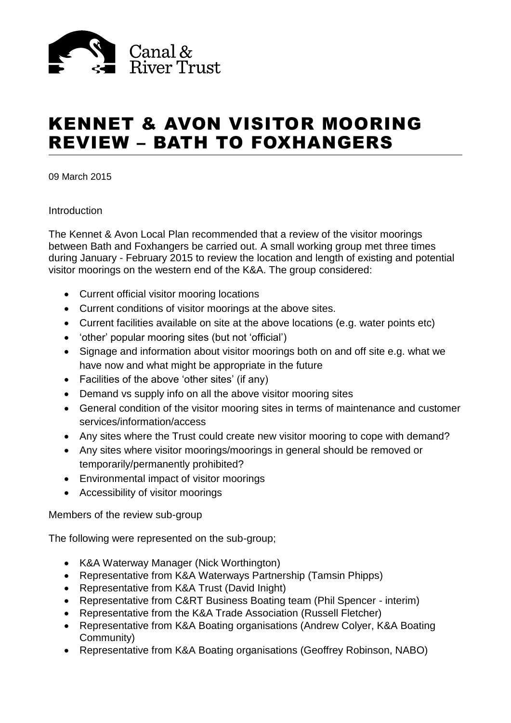

# KENNET & AVON VISITOR MOORING REVIEW – BATH TO FOXHANGERS

09 March 2015

**Introduction** 

The Kennet & Avon Local Plan recommended that a review of the visitor moorings between Bath and Foxhangers be carried out. A small working group met three times during January - February 2015 to review the location and length of existing and potential visitor moorings on the western end of the K&A. The group considered:

- Current official visitor mooring locations
- Current conditions of visitor moorings at the above sites.
- Current facilities available on site at the above locations (e.g. water points etc)
- 'other' popular mooring sites (but not 'official')
- Signage and information about visitor moorings both on and off site e.g. what we have now and what might be appropriate in the future
- Facilities of the above 'other sites' (if any)
- Demand vs supply info on all the above visitor mooring sites
- General condition of the visitor mooring sites in terms of maintenance and customer services/information/access
- Any sites where the Trust could create new visitor mooring to cope with demand?
- Any sites where visitor moorings/moorings in general should be removed or temporarily/permanently prohibited?
- Environmental impact of visitor moorings
- Accessibility of visitor moorings

Members of the review sub-group

The following were represented on the sub-group;

- K&A Waterway Manager (Nick Worthington)
- Representative from K&A Waterways Partnership (Tamsin Phipps)
- Representative from K&A Trust (David Inight)
- Representative from C&RT Business Boating team (Phil Spencer interim)
- Representative from the K&A Trade Association (Russell Fletcher)
- Representative from K&A Boating organisations (Andrew Colyer, K&A Boating Community)
- Representative from K&A Boating organisations (Geoffrey Robinson, NABO)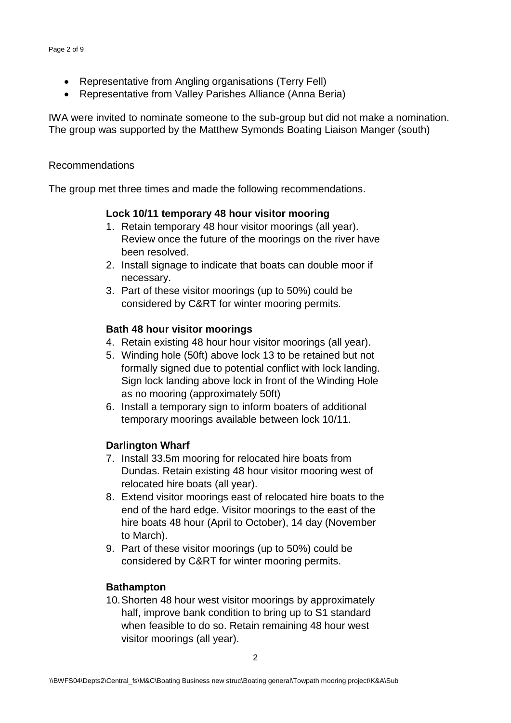- Representative from Angling organisations (Terry Fell)
- Representative from Valley Parishes Alliance (Anna Beria)

IWA were invited to nominate someone to the sub-group but did not make a nomination. The group was supported by the Matthew Symonds Boating Liaison Manger (south)

### Recommendations

The group met three times and made the following recommendations.

# **Lock 10/11 temporary 48 hour visitor mooring**

- 1. Retain temporary 48 hour visitor moorings (all year). Review once the future of the moorings on the river have been resolved.
- 2. Install signage to indicate that boats can double moor if necessary.
- 3. Part of these visitor moorings (up to 50%) could be considered by C&RT for winter mooring permits.

### **Bath 48 hour visitor moorings**

- 4. Retain existing 48 hour hour visitor moorings (all year).
- 5. Winding hole (50ft) above lock 13 to be retained but not formally signed due to potential conflict with lock landing. Sign lock landing above lock in front of the Winding Hole as no mooring (approximately 50ft)
- 6. Install a temporary sign to inform boaters of additional temporary moorings available between lock 10/11.

### **Darlington Wharf**

- 7. Install 33.5m mooring for relocated hire boats from Dundas. Retain existing 48 hour visitor mooring west of relocated hire boats (all year).
- 8. Extend visitor moorings east of relocated hire boats to the end of the hard edge. Visitor moorings to the east of the hire boats 48 hour (April to October), 14 day (November to March).
- 9. Part of these visitor moorings (up to 50%) could be considered by C&RT for winter mooring permits.

# **Bathampton**

10.Shorten 48 hour west visitor moorings by approximately half, improve bank condition to bring up to S1 standard when feasible to do so. Retain remaining 48 hour west visitor moorings (all year).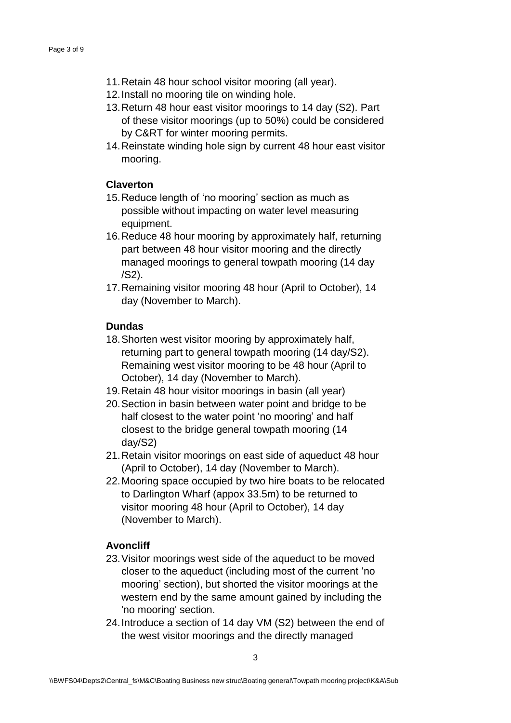- 11.Retain 48 hour school visitor mooring (all year).
- 12.Install no mooring tile on winding hole.
- 13.Return 48 hour east visitor moorings to 14 day (S2). Part of these visitor moorings (up to 50%) could be considered by C&RT for winter mooring permits.
- 14.Reinstate winding hole sign by current 48 hour east visitor mooring.

# **Claverton**

- 15.Reduce length of 'no mooring' section as much as possible without impacting on water level measuring equipment.
- 16.Reduce 48 hour mooring by approximately half, returning part between 48 hour visitor mooring and the directly managed moorings to general towpath mooring (14 day /S2).
- 17.Remaining visitor mooring 48 hour (April to October), 14 day (November to March).

# **Dundas**

- 18.Shorten west visitor mooring by approximately half, returning part to general towpath mooring (14 day/S2). Remaining west visitor mooring to be 48 hour (April to October), 14 day (November to March).
- 19.Retain 48 hour visitor moorings in basin (all year)
- 20.Section in basin between water point and bridge to be half closest to the water point 'no mooring' and half closest to the bridge general towpath mooring (14 day/S2)
- 21.Retain visitor moorings on east side of aqueduct 48 hour (April to October), 14 day (November to March).
- 22.Mooring space occupied by two hire boats to be relocated to Darlington Wharf (appox 33.5m) to be returned to visitor mooring 48 hour (April to October), 14 day (November to March).

# **Avoncliff**

- 23.Visitor moorings west side of the aqueduct to be moved closer to the aqueduct (including most of the current 'no mooring' section), but shorted the visitor moorings at the western end by the same amount gained by including the 'no mooring' section.
- 24.Introduce a section of 14 day VM (S2) between the end of the west visitor moorings and the directly managed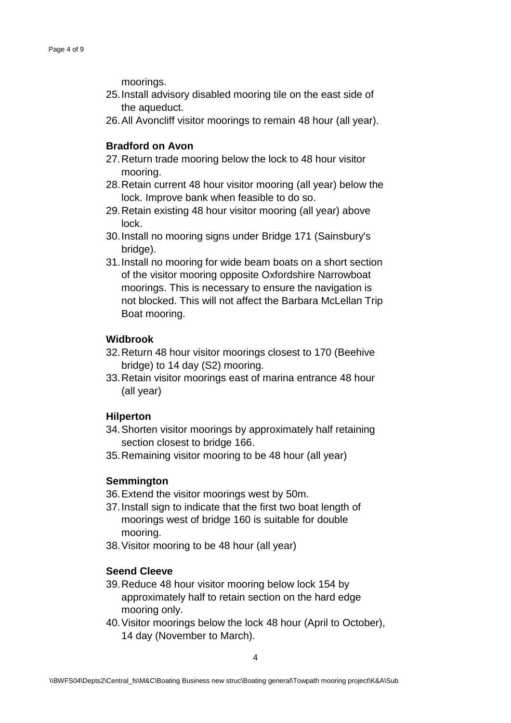moorings.

- 25.Install advisory disabled mooring tile on the east side of the aqueduct.
- 26.All Avoncliff visitor moorings to remain 48 hour (all year).

# **Bradford on Avon**

- 27.Return trade mooring below the lock to 48 hour visitor mooring.
- 28.Retain current 48 hour visitor mooring (all year) below the lock. Improve bank when feasible to do so.
- 29.Retain existing 48 hour visitor mooring (all year) above lock.
- 30.Install no mooring signs under Bridge 171 (Sainsbury's bridge).
- 31.Install no mooring for wide beam boats on a short section of the visitor mooring opposite Oxfordshire Narrowboat moorings. This is necessary to ensure the navigation is not blocked. This will not affect the Barbara McLellan Trip Boat mooring.

# **Widbrook**

- 32.Return 48 hour visitor moorings closest to 170 (Beehive bridge) to 14 day (S2) mooring.
- 33.Retain visitor moorings east of marina entrance 48 hour (all year)

# **Hilperton**

- 34.Shorten visitor moorings by approximately half retaining section closest to bridge 166.
- 35.Remaining visitor mooring to be 48 hour (all year)

# **Semmington**

- 36.Extend the visitor moorings west by 50m.
- 37.Install sign to indicate that the first two boat length of moorings west of bridge 160 is suitable for double mooring.
- 38.Visitor mooring to be 48 hour (all year)

# **Seend Cleeve**

- 39.Reduce 48 hour visitor mooring below lock 154 by approximately half to retain section on the hard edge mooring only.
- 40.Visitor moorings below the lock 48 hour (April to October), 14 day (November to March).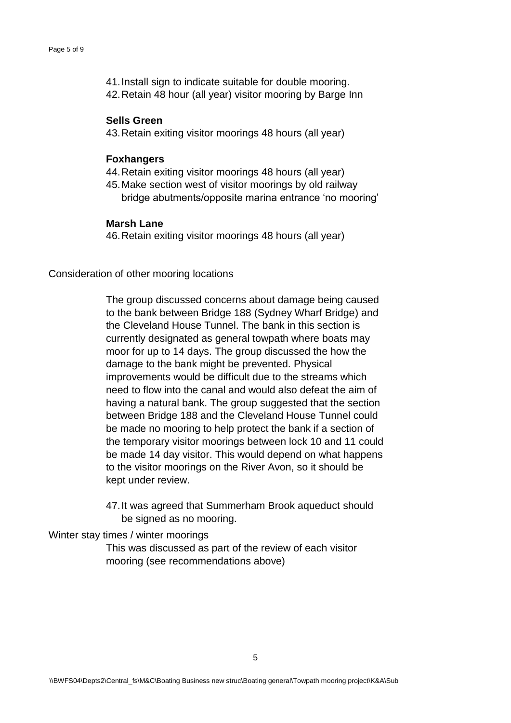41.Install sign to indicate suitable for double mooring. 42.Retain 48 hour (all year) visitor mooring by Barge Inn

#### **Sells Green**

43.Retain exiting visitor moorings 48 hours (all year)

#### **Foxhangers**

- 44.Retain exiting visitor moorings 48 hours (all year)
- 45.Make section west of visitor moorings by old railway bridge abutments/opposite marina entrance 'no mooring'

# **Marsh Lane**

46.Retain exiting visitor moorings 48 hours (all year)

Consideration of other mooring locations

The group discussed concerns about damage being caused to the bank between Bridge 188 (Sydney Wharf Bridge) and the Cleveland House Tunnel. The bank in this section is currently designated as general towpath where boats may moor for up to 14 days. The group discussed the how the damage to the bank might be prevented. Physical improvements would be difficult due to the streams which need to flow into the canal and would also defeat the aim of having a natural bank. The group suggested that the section between Bridge 188 and the Cleveland House Tunnel could be made no mooring to help protect the bank if a section of the temporary visitor moorings between lock 10 and 11 could be made 14 day visitor. This would depend on what happens to the visitor moorings on the River Avon, so it should be kept under review.

47.It was agreed that Summerham Brook aqueduct should be signed as no mooring.

Winter stay times / winter moorings

This was discussed as part of the review of each visitor mooring (see recommendations above)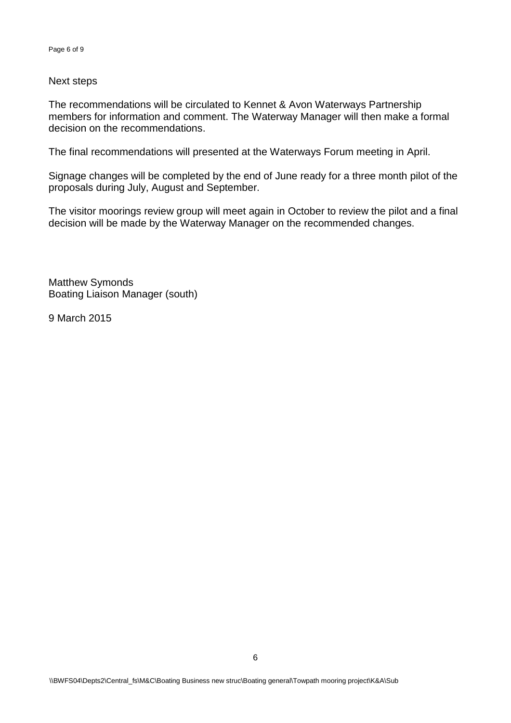### Next steps

The recommendations will be circulated to Kennet & Avon Waterways Partnership members for information and comment. The Waterway Manager will then make a formal decision on the recommendations.

The final recommendations will presented at the Waterways Forum meeting in April.

Signage changes will be completed by the end of June ready for a three month pilot of the proposals during July, August and September.

The visitor moorings review group will meet again in October to review the pilot and a final decision will be made by the Waterway Manager on the recommended changes.

Matthew Symonds Boating Liaison Manager (south)

9 March 2015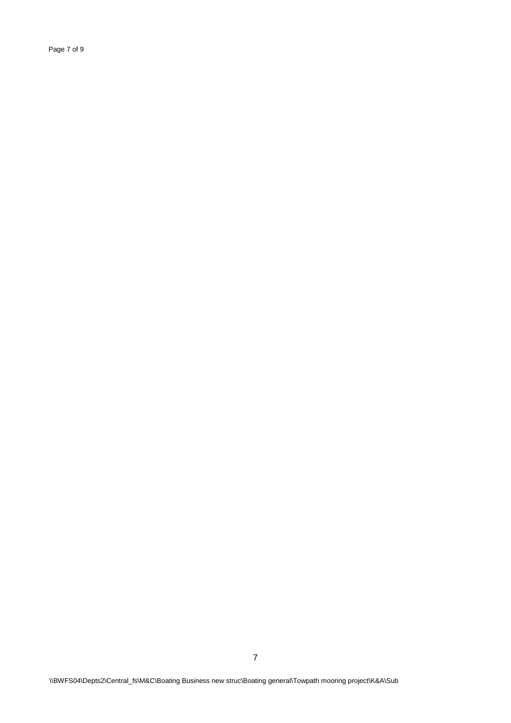Page 7 of 9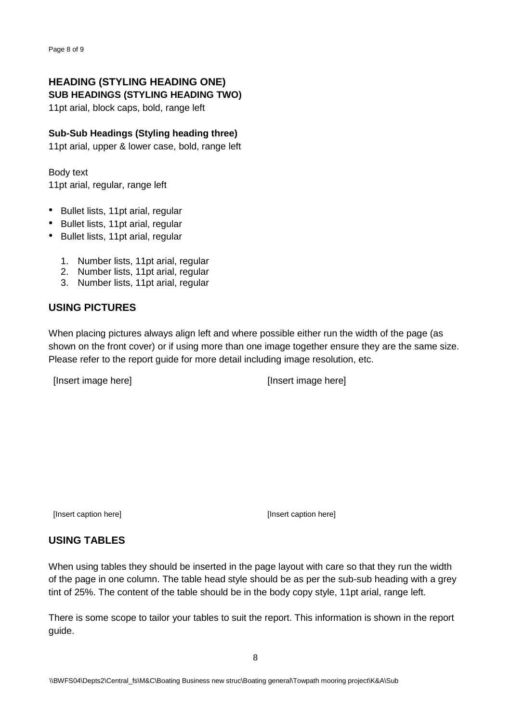Page 8 of 9

# **HEADING (STYLING HEADING ONE) SUB HEADINGS (STYLING HEADING TWO)**

11pt arial, block caps, bold, range left

# **Sub-Sub Headings (Styling heading three)**

11pt arial, upper & lower case, bold, range left

Body text 11pt arial, regular, range left

- Bullet lists, 11pt arial, regular
- Bullet lists, 11pt arial, regular
- Bullet lists, 11pt arial, regular
	- 1. Number lists, 11pt arial, regular
	- 2. Number lists, 11pt arial, regular
	- 3. Number lists, 11pt arial, regular

# **USING PICTURES**

When placing pictures always align left and where possible either run the width of the page (as shown on the front cover) or if using more than one image together ensure they are the same size. Please refer to the report guide for more detail including image resolution, etc.

[Insert image here]

[Insert image here]

[Insert caption here]

[Insert caption here]

# **USING TABLES**

When using tables they should be inserted in the page layout with care so that they run the width of the page in one column. The table head style should be as per the sub-sub heading with a grey tint of 25%. The content of the table should be in the body copy style, 11pt arial, range left.

There is some scope to tailor your tables to suit the report. This information is shown in the report guide.